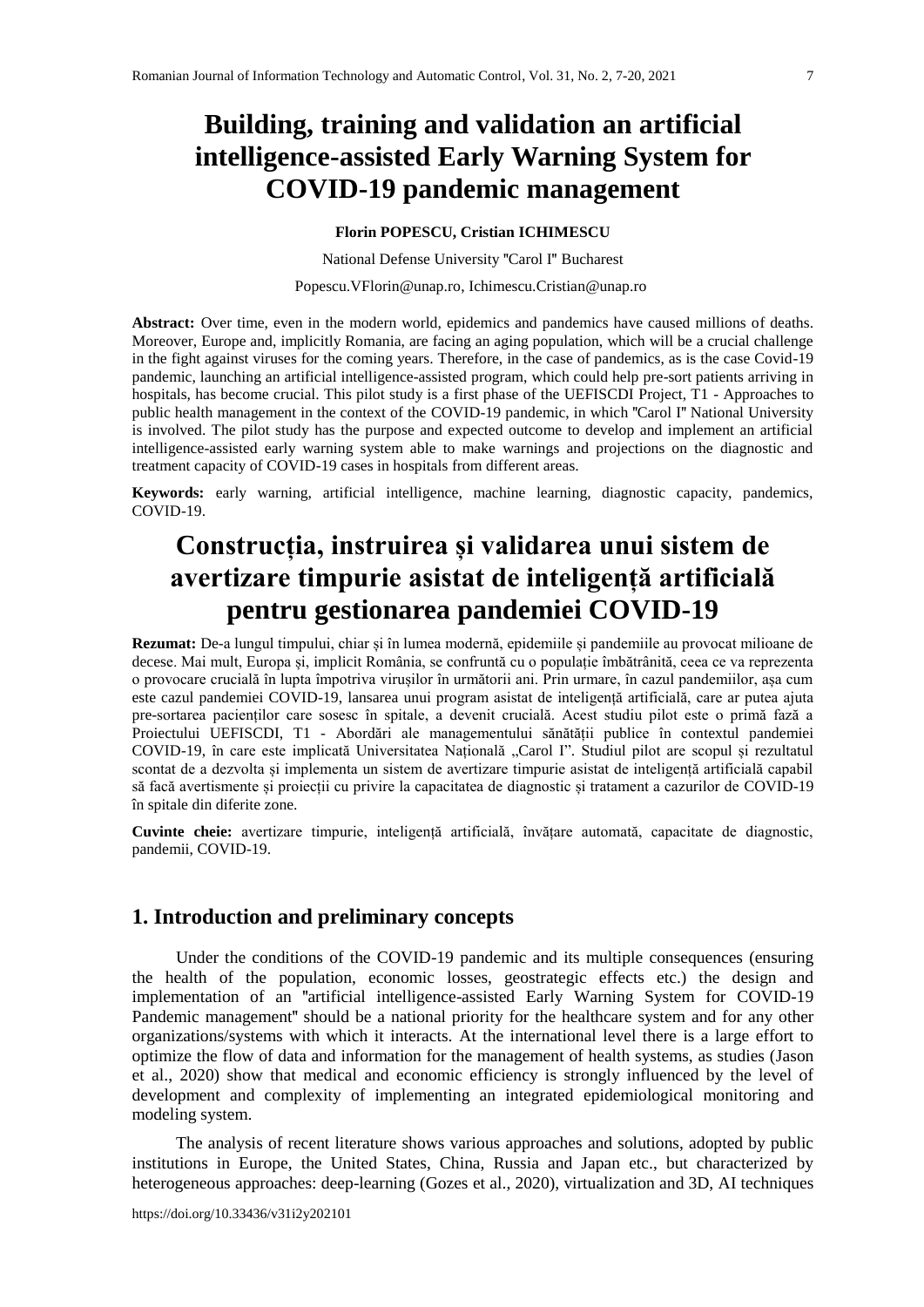# **Building, training and validation an artificial intelligence-assisted Early Warning System for COVID-19 pandemic management**

**Florin POPESCU, Cristian ICHIMESCU**

National Defense University **"**Carol I**"** Bucharest

[Popescu.VFlorin@unap.ro,](mailto:Popescu.VFlorin@unap.ro) [Ichimescu.Cristian@unap.ro](mailto:Ichimescu.Cristian@unap.ro)

**Abstract:** Over time, even in the modern world, epidemics and pandemics have caused millions of deaths. Moreover, Europe and, implicitly Romania, are facing an aging population, which will be a crucial challenge in the fight against viruses for the coming years. Therefore, in the case of pandemics, as is the case Covid-19 pandemic, launching an artificial intelligence-assisted program, which could help pre-sort patients arriving in hospitals, has become crucial. This pilot study is a first phase of the UEFISCDI Project, T1 - Approaches to public health management in the context of the COVID-19 pandemic, in which **"**Carol I**"** National University is involved. The pilot study has the purpose and expected outcome to develop and implement an artificial intelligence-assisted early warning system able to make warnings and projections on the diagnostic and treatment capacity of COVID-19 cases in hospitals from different areas.

**Keywords:** early warning, artificial intelligence, machine learning, diagnostic capacity, pandemics, COVID-19.

# **Construcția, instruirea și validarea unui sistem de avertizare timpurie asistat de inteligență artificială pentru gestionarea pandemiei COVID-19**

**Rezumat:** De-a lungul timpului, chiar și în lumea modernă, epidemiile și pandemiile au provocat milioane de decese. Mai mult, Europa și, implicit România, se confruntă cu o populație îmbătrânită, ceea ce va reprezenta o provocare crucială în lupta împotriva virușilor în următorii ani. Prin urmare, în cazul pandemiilor, așa cum este cazul pandemiei COVID-19, lansarea unui program asistat de inteligență artificială, care ar putea ajuta pre-sortarea pacienților care sosesc în spitale, a devenit crucială. Acest studiu pilot este o primă fază a Proiectului UEFISCDI, T1 - Abordări ale managementului sănătății publice în contextul pandemiei COVID-19, în care este implicată Universitatea Națională "Carol I". Studiul pilot are scopul și rezultatul scontat de a dezvolta și implementa un sistem de avertizare timpurie asistat de inteligență artificială capabil să facă avertismente și proiecții cu privire la capacitatea de diagnostic și tratament a cazurilor de COVID-19 în spitale din diferite zone.

**Cuvinte cheie:** avertizare timpurie, inteligență artificială, învățare automată, capacitate de diagnostic, pandemii, COVID-19.

## **1. Introduction and preliminary concepts**

Under the conditions of the COVID-19 pandemic and its multiple consequences (ensuring the health of the population, economic losses, geostrategic effects etc.) the design and implementation of an **"**artificial intelligence-assisted Early Warning System for COVID-19 Pandemic management**"** should be a national priority for the healthcare system and for any other organizations/systems with which it interacts. At the international level there is a large effort to optimize the flow of data and information for the management of health systems, as studies (Jason et al., 2020) show that medical and economic efficiency is strongly influenced by the level of development and complexity of implementing an integrated epidemiological monitoring and modeling system.

The analysis of recent literature shows various approaches and solutions, adopted by public institutions in Europe, the United States, China, Russia and Japan etc., but characterized by heterogeneous approaches: deep-learning (Gozes et al., 2020), virtualization and 3D, AI techniques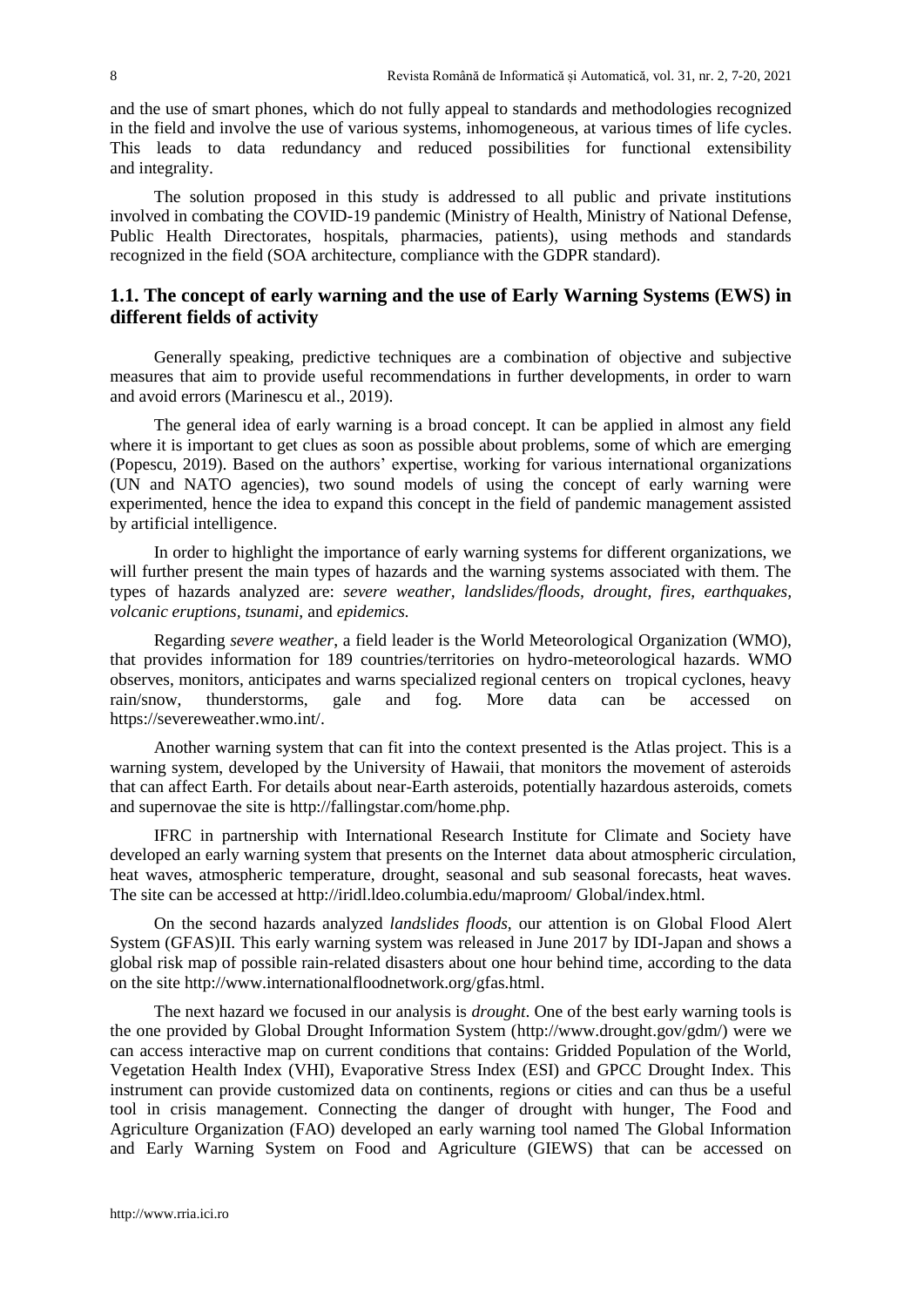and the use of smart phones, which do not fully appeal to standards and methodologies recognized in the field and involve the use of various systems, inhomogeneous, at various times of life cycles. This leads to data redundancy and reduced possibilities for functional extensibility and integrality.

The solution proposed in this study is addressed to all public and private institutions involved in combating the COVID-19 pandemic (Ministry of Health, Ministry of National Defense, Public Health Directorates, hospitals, pharmacies, patients), using methods and standards recognized in the field (SOA architecture, compliance with the GDPR standard).

### **1.1. The concept of early warning and the use of Early Warning Systems (EWS) in different fields of activity**

Generally speaking, predictive techniques are a combination of objective and subjective measures that aim to provide useful recommendations in further developments, in order to warn and avoid errors (Marinescu et al., 2019).

The general idea of early warning is a broad concept. It can be applied in almost any field where it is important to get clues as soon as possible about problems, some of which are emerging (Popescu, 2019). Based on the authors' expertise, working for various international organizations (UN and NATO agencies), two sound models of using the concept of early warning were experimented, hence the idea to expand this concept in the field of pandemic management assisted by artificial intelligence.

In order to highlight the importance of early warning systems for different organizations, we will further present the main types of hazards and the warning systems associated with them. The types of hazards analyzed are: *severe weather, landslides/floods, drought, fires, earthquakes, volcanic eruptions, tsunami,* and *epidemics.*

Regarding *severe weather*, a field leader is the World Meteorological Organization (WMO), that provides information for 189 countries/territories on hydro-meteorological hazards. WMO observes, monitors, anticipates and warns specialized regional centers on tropical cyclones, heavy rain/snow, thunderstorms, gale and fog. More data can be accessed on https://severeweather.wmo.int/.

Another warning system that can fit into the context presented is the Atlas project. This is a warning system, developed by the University of Hawaii, that monitors the movement of asteroids that can affect Earth. For details about near-Earth asteroids, potentially hazardous asteroids, comets and supernovae the site is http://fallingstar.com/home.php.

IFRC in partnership with International Research Institute for Climate and Society have developed an early warning system that presents on the Internet data about atmospheric circulation, heat waves, atmospheric temperature, drought, seasonal and sub seasonal forecasts, heat waves. The site can be accessed at http://iridl.ldeo.columbia.edu/maproom/ Global/index.html.

On the second hazards analyzed *landslides floods,* our attention is on Global Flood Alert System (GFAS)II. This early warning system was released in June 2017 by IDI-Japan and shows a global risk map of possible rain-related disasters about one hour behind time, according to the data on the site http://www.internationalfloodnetwork.org/gfas.html.

The next hazard we focused in our analysis is *drought*. One of the best early warning tools is the one provided by Global Drought Information System (http://www.drought.gov/gdm/) were we can access interactive map on current conditions that contains: Gridded Population of the World, Vegetation Health Index (VHI), Evaporative Stress Index (ESI) and GPCC Drought Index. This instrument can provide customized data on continents, regions or cities and can thus be a useful tool in crisis management. Connecting the danger of drought with hunger, The Food and Agriculture Organization (FAO) developed an early warning tool named The Global Information and Early Warning System on Food and Agriculture (GIEWS) that can be accessed on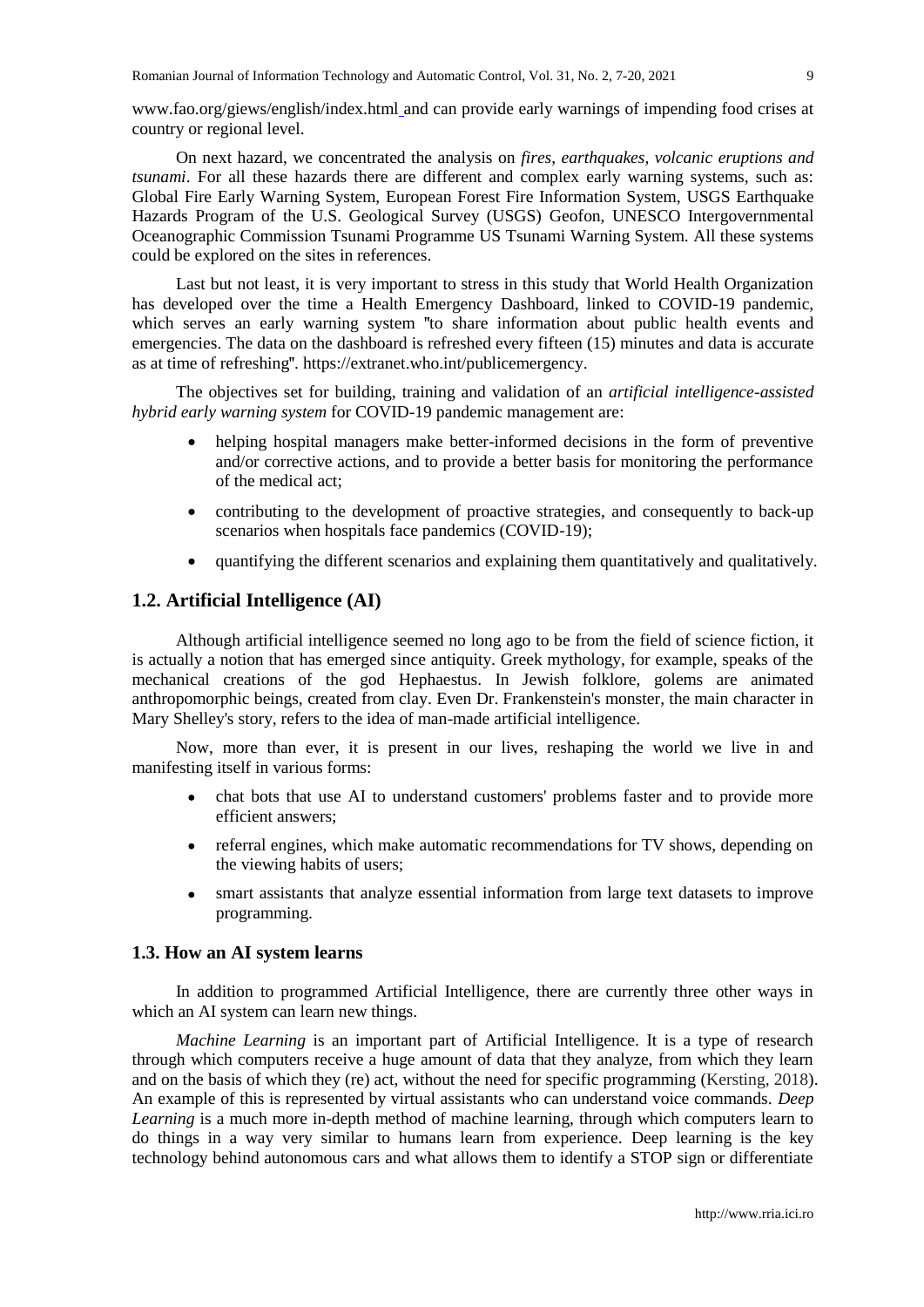www.fao.org/giews/english/index.html and can provide early warnings of impending food crises at country or regional level.

On next hazard, we concentrated the analysis on *fires*, *earthquakes, volcanic eruptions and tsunami*. For all these hazards there are different and complex early warning systems, such as: Global Fire Early Warning System, European Forest Fire Information System, USGS Earthquake Hazards Program of the U.S. Geological Survey (USGS) Geofon, UNESCO Intergovernmental Oceanographic Commission Tsunami Programme US Tsunami Warning System. All these systems could be explored on the sites in references.

Last but not least, it is very important to stress in this study that World Health Organization has developed over the time a Health Emergency Dashboard, linked to COVID-19 pandemic, which serves an early warning system **"**to share information about public health events and emergencies. The data on the dashboard is refreshed every fifteen (15) minutes and data is accurate as at time of refreshing**"**. https://extranet.who.int/publicemergency.

The objectives set for building, training and validation of an *artificial intelligence-assisted hybrid early warning system* for COVID-19 pandemic management are:

- helping hospital managers make better-informed decisions in the form of preventive and/or corrective actions, and to provide a better basis for monitoring the performance of the medical act;
- contributing to the development of proactive strategies, and consequently to back-up scenarios when hospitals face pandemics (COVID-19);
- quantifying the different scenarios and explaining them quantitatively and qualitatively.

#### **1.2. Artificial Intelligence (AI)**

Although artificial intelligence seemed no long ago to be from the field of science fiction, it is actually a notion that has emerged since antiquity. Greek mythology, for example, speaks of the mechanical creations of the god Hephaestus. In Jewish folklore, golems are animated anthropomorphic beings, created from clay. Even Dr. Frankenstein's monster, the main character in Mary Shelley's story, refers to the idea of man-made artificial intelligence.

Now, more than ever, it is present in our lives, reshaping the world we live in and manifesting itself in various forms:

- chat bots that use AI to understand customers' problems faster and to provide more efficient answers;
- referral engines, which make automatic recommendations for TV shows, depending on the viewing habits of users;
- smart assistants that analyze essential information from large text datasets to improve programming.

#### **1.3. How an AI system learns**

In addition to programmed Artificial Intelligence, there are currently three other ways in which an AI system can learn new things.

*Machine Learning* is an important part of Artificial Intelligence. It is a type of research through which computers receive a huge amount of data that they analyze, from which they learn and on the basis of which they (re) act, without the need for specific programming (Kersting, 2018). An example of this is represented by virtual assistants who can understand voice commands. *Deep Learning* is a much more in-depth method of machine learning, through which computers learn to do things in a way very similar to humans learn from experience. Deep learning is the key technology behind autonomous cars and what allows them to identify a STOP sign or differentiate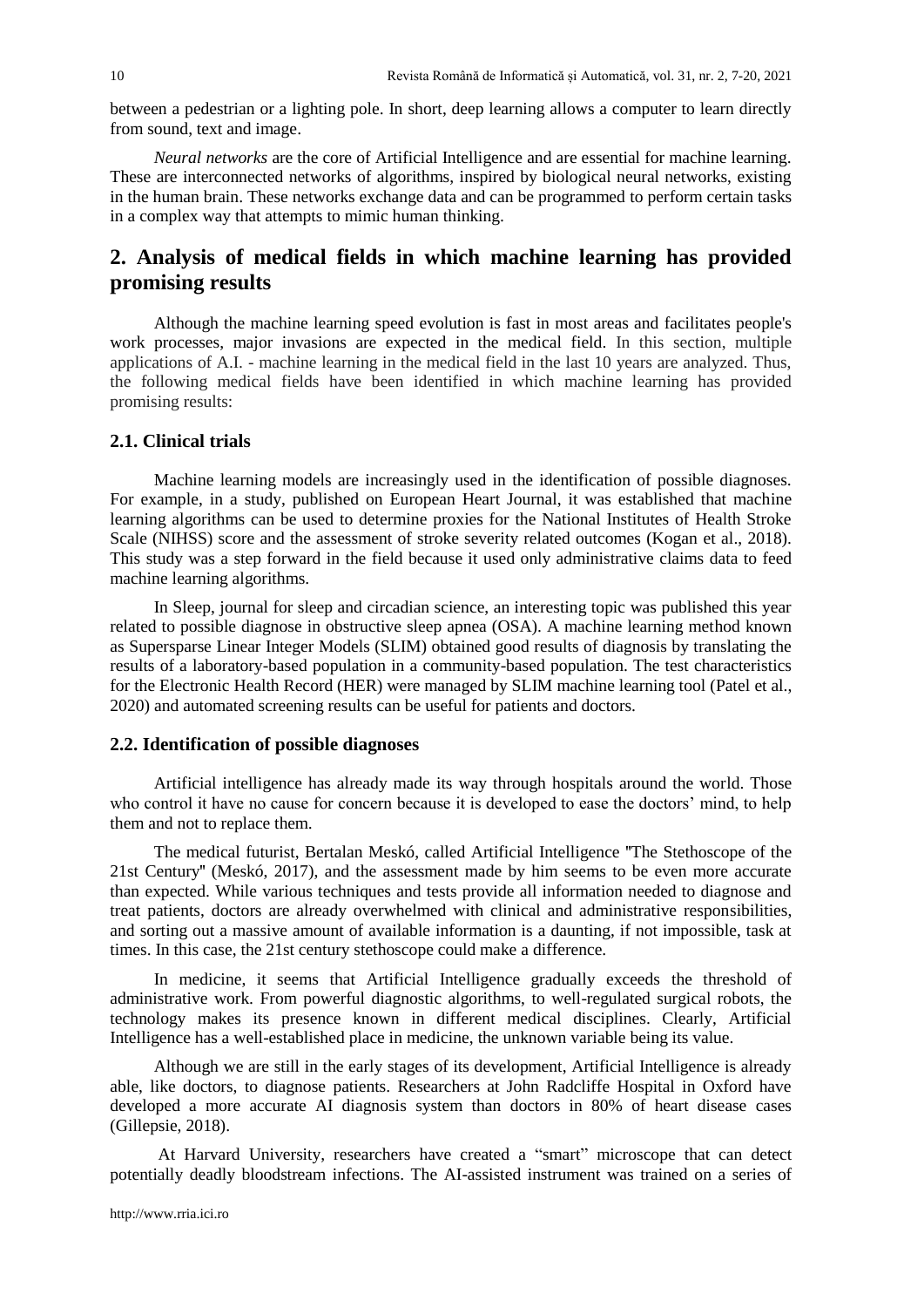between a pedestrian or a lighting pole. In short, deep learning allows a computer to learn directly from sound, text and image.

*Neural networks* are the core of Artificial Intelligence and are essential for machine learning. These are interconnected networks of algorithms, inspired by biological neural networks, existing in the human brain. These networks exchange data and can be programmed to perform certain tasks in a complex way that attempts to mimic human thinking.

# **2. Analysis of medical fields in which machine learning has provided promising results**

Although the machine learning speed evolution is fast in most areas and facilitates people's work processes, major invasions are expected in the medical field. In this section, multiple applications of A.I. - machine learning in the medical field in the last 10 years are analyzed. Thus, the following medical fields have been identified in which machine learning has provided promising results:

### **2.1. Clinical trials**

Machine learning models are increasingly used in the identification of possible diagnoses. For example, in a study, published on European Heart Journal, it was established that machine learning algorithms can be used to determine proxies for the National Institutes of Health Stroke Scale (NIHSS) score and the assessment of stroke severity related outcomes (Kogan et al., 2018). This study was a step forward in the field because it used only administrative claims data to feed machine learning algorithms.

In Sleep, journal for sleep and circadian science, an interesting topic was published this year related to possible diagnose in obstructive sleep apnea (OSA). A machine learning method known as Supersparse Linear Integer Models (SLIM) obtained good results of diagnosis by translating the results of a laboratory-based population in a community-based population. The test characteristics for the Electronic Health Record (HER) were managed by SLIM machine learning tool (Patel et al., 2020) and automated screening results can be useful for patients and doctors.

#### **2.2. Identification of possible diagnoses**

Artificial intelligence has already made its way through hospitals around the world. Those who control it have no cause for concern because it is developed to ease the doctors' mind, to help them and not to replace them.

The medical futurist, Bertalan Meskó, called Artificial Intelligence **"**The Stethoscope of the 21st Century**"** (Meskó, 2017), and the assessment made by him seems to be even more accurate than expected. While various techniques and tests provide all information needed to diagnose and treat patients, doctors are already overwhelmed with clinical and administrative responsibilities, and sorting out a massive amount of available information is a daunting, if not impossible, task at times. In this case, the 21st century stethoscope could make a difference.

In medicine, it seems that Artificial Intelligence gradually exceeds the threshold of administrative work. From powerful diagnostic algorithms, to well-regulated surgical robots, the technology makes its presence known in different medical disciplines. Clearly, Artificial Intelligence has a well-established place in medicine, the unknown variable being its value.

Although we are still in the early stages of its development, Artificial Intelligence is already able, like doctors, to diagnose patients. Researchers at John Radcliffe Hospital in Oxford have developed a more accurate AI diagnosis system than doctors in 80% of heart disease cases (Gillepsie, 2018).

At Harvard University, researchers have created a "smart" microscope that can detect potentially deadly bloodstream infections. The AI-assisted instrument was trained on a series of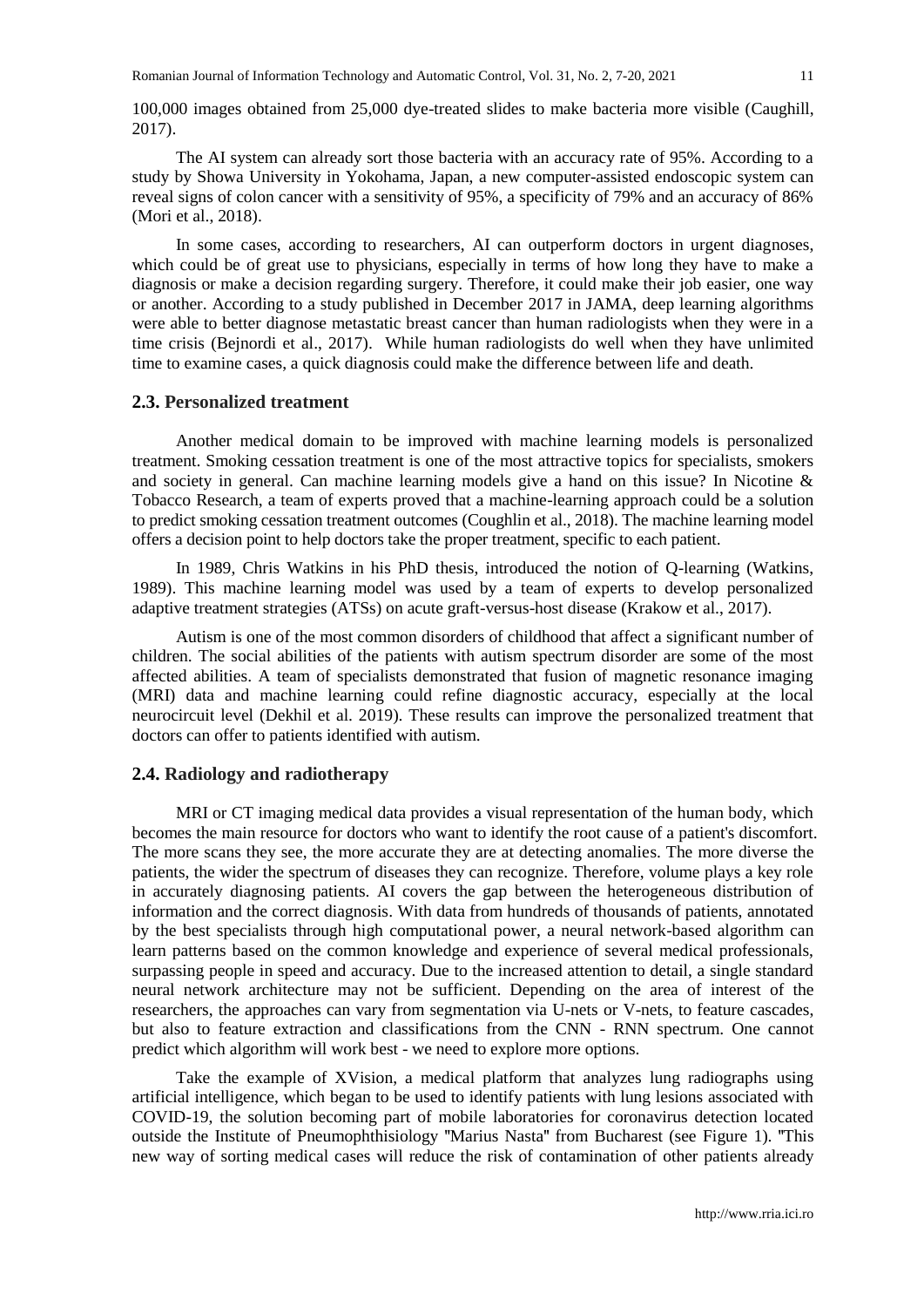100,000 images obtained from 25,000 dye-treated slides to make bacteria more visible (Caughill, 2017).

The AI system can already sort those bacteria with an accuracy rate of 95%. According to a study by Showa University in Yokohama, Japan, a new computer-assisted endoscopic system can reveal signs of colon cancer with a sensitivity of 95%, a specificity of 79% and an accuracy of 86% (Mori et al., 2018).

In some cases, according to researchers, AI can outperform doctors in urgent diagnoses, which could be of great use to physicians, especially in terms of how long they have to make a diagnosis or make a decision regarding surgery. Therefore, it could make their job easier, one way or another. According to a study published in December 2017 in JAMA, deep learning algorithms were able to better diagnose metastatic breast cancer than human radiologists when they were in a time crisis (Bejnordi et al., 2017). While human radiologists do well when they have unlimited time to examine cases, a quick diagnosis could make the difference between life and death.

#### **2.3. Personalized treatment**

Another medical domain to be improved with machine learning models is personalized treatment. Smoking cessation treatment is one of the most attractive topics for specialists, smokers and society in general. Can machine learning models give a hand on this issue? In Nicotine & Tobacco Research, a team of experts proved that a machine-learning approach could be a solution to predict smoking cessation treatment outcomes (Coughlin et al., 2018). The machine learning model offers a decision point to help doctors take the proper treatment, specific to each patient.

In 1989, Chris Watkins in his PhD thesis, introduced the notion of Q-learning (Watkins, 1989). This machine learning model was used by a team of experts to develop personalized adaptive treatment strategies (ATSs) on acute graft-versus-host disease (Krakow et al., 2017).

Autism is one of the most common disorders of childhood that affect a significant number of children. The social abilities of the patients with autism spectrum disorder are some of the most affected abilities. A team of specialists demonstrated that fusion of magnetic resonance imaging (MRI) data and machine learning could refine diagnostic accuracy, especially at the local neurocircuit level (Dekhil et al. 2019). These results can improve the personalized treatment that doctors can offer to patients identified with autism.

#### **2.4. Radiology and radiotherapy**

MRI or CT imaging medical data provides a visual representation of the human body, which becomes the main resource for doctors who want to identify the root cause of a patient's discomfort. The more scans they see, the more accurate they are at detecting anomalies. The more diverse the patients, the wider the spectrum of diseases they can recognize. Therefore, volume plays a key role in accurately diagnosing patients. AI covers the gap between the heterogeneous distribution of information and the correct diagnosis. With data from hundreds of thousands of patients, annotated by the best specialists through high computational power, a neural network-based algorithm can learn patterns based on the common knowledge and experience of several medical professionals, surpassing people in speed and accuracy. Due to the increased attention to detail, a single standard neural network architecture may not be sufficient. Depending on the area of interest of the researchers, the approaches can vary from segmentation via U-nets or V-nets, to feature cascades, but also to feature extraction and classifications from the CNN - RNN spectrum. One cannot predict which algorithm will work best - we need to explore more options.

Take the example of XVision, a medical platform that analyzes lung radiographs using artificial intelligence, which began to be used to identify patients with lung lesions associated with COVID-19, the solution becoming part of mobile laboratories for coronavirus detection located outside the Institute of Pneumophthisiology **"**Marius Nasta**"** from Bucharest (see Figure 1). **"**This new way of sorting medical cases will reduce the risk of contamination of other patients already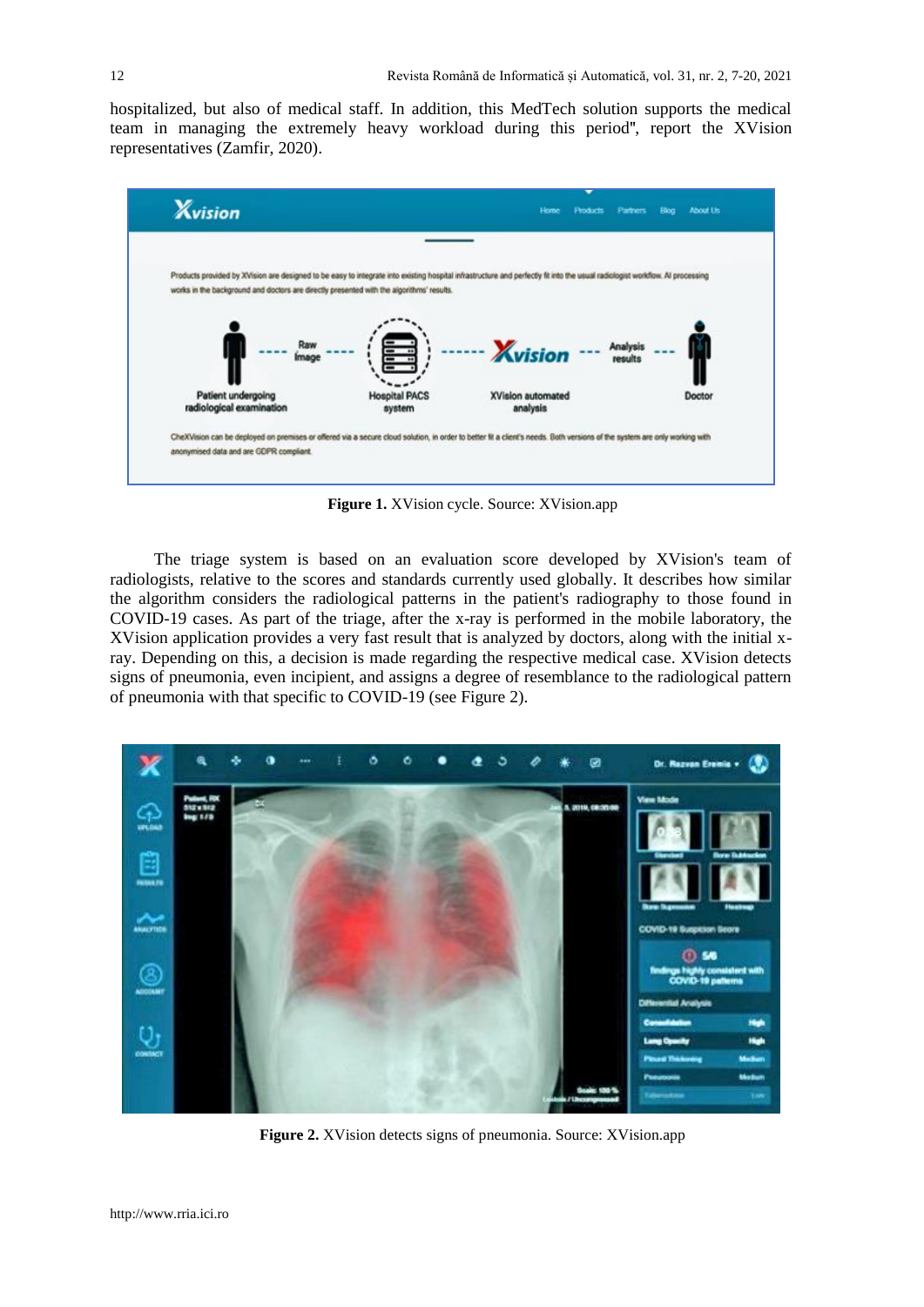hospitalized, but also of medical staff. In addition, this MedTech solution supports the medical team in managing the extremely heavy workload during this period**"**, report the XVision representatives (Zamfir, 2020).



**Figure 1.** XVision cycle. Source: XVision.app

The triage system is based on an evaluation score developed by XVision's team of radiologists, relative to the scores and standards currently used globally. It describes how similar the algorithm considers the radiological patterns in the patient's radiography to those found in COVID-19 cases. As part of the triage, after the x-ray is performed in the mobile laboratory, the XVision application provides a very fast result that is analyzed by doctors, along with the initial xray. Depending on this, a decision is made regarding the respective medical case. XVision detects signs of pneumonia, even incipient, and assigns a degree of resemblance to the radiological pattern of pneumonia with that specific to COVID-19 (see Figure 2).



**Figure 2.** XVision detects signs of pneumonia. Source: XVision.app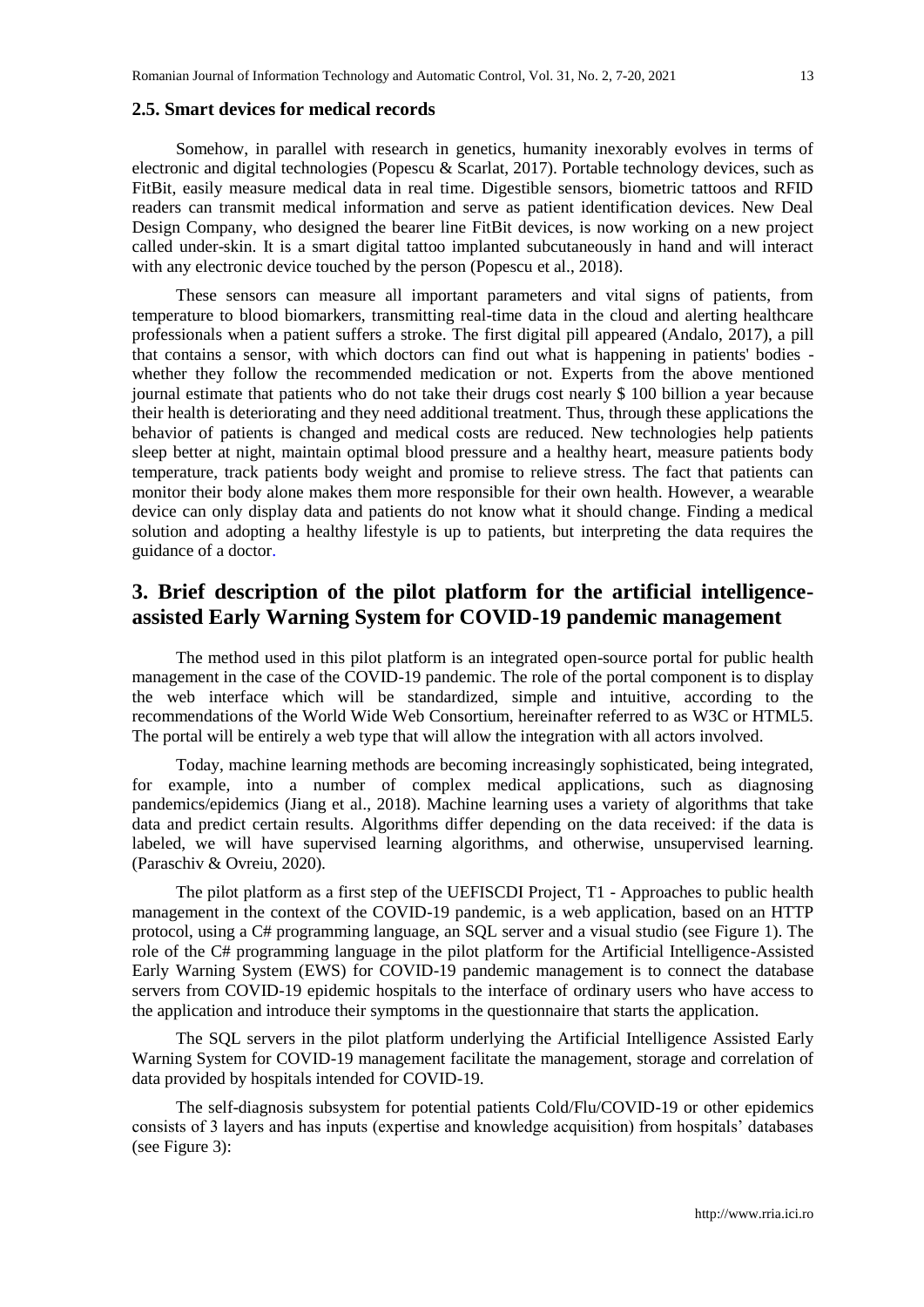#### **2.5. Smart devices for medical records**

Somehow, in parallel with research in genetics, humanity inexorably evolves in terms of electronic and digital technologies (Popescu & Scarlat, 2017). Portable technology devices, such as FitBit, easily measure medical data in real time. Digestible sensors, biometric tattoos and RFID readers can transmit medical information and serve as patient identification devices. New Deal Design Company, who designed the bearer line FitBit devices, is now working on a new project called under-skin. It is a smart digital tattoo implanted subcutaneously in hand and will interact with any electronic device touched by the person (Popescu et al., 2018).

These sensors can measure all important parameters and vital signs of patients, from temperature to blood biomarkers, transmitting real-time data in the cloud and alerting healthcare professionals when a patient suffers a stroke. The first digital pill appeared (Andalo, 2017), a pill that contains a sensor, with which doctors can find out what is happening in patients' bodies whether they follow the recommended medication or not. Experts from the above mentioned journal estimate that patients who do not take their drugs cost nearly \$ 100 billion a year because their health is deteriorating and they need additional treatment. Thus, through these applications the behavior of patients is changed and medical costs are reduced. New technologies help patients sleep better at night, maintain optimal blood pressure and a healthy heart, measure patients body temperature, track patients body weight and promise to relieve stress. The fact that patients can monitor their body alone makes them more responsible for their own health. However, a wearable device can only display data and patients do not know what it should change. Finding a medical solution and adopting a healthy lifestyle is up to patients, but interpreting the data requires the guidance of a doctor.

# **3. Brief description of the pilot platform for the artificial intelligenceassisted Early Warning System for COVID-19 pandemic management**

The method used in this pilot platform is an integrated open-source portal for public health management in the case of the COVID-19 pandemic. The role of the portal component is to display the web interface which will be standardized, simple and intuitive, according to the recommendations of the World Wide Web Consortium, hereinafter referred to as W3C or HTML5. The portal will be entirely a web type that will allow the integration with all actors involved.

Today, machine learning methods are becoming increasingly sophisticated, being integrated, for example, into a number of complex medical applications, such as diagnosing pandemics/epidemics (Jiang et al., 2018). Machine learning uses a variety of algorithms that take data and predict certain results. Algorithms differ depending on the data received: if the data is labeled, we will have supervised learning algorithms, and otherwise, unsupervised learning. (Paraschiv & Ovreiu, 2020).

The pilot platform as a first step of the UEFISCDI Project, T1 - Approaches to public health management in the context of the COVID-19 pandemic, is a web application, based on an HTTP protocol, using a C# programming language, an SQL server and a visual studio (see Figure 1). The role of the C# programming language in the pilot platform for the Artificial Intelligence-Assisted Early Warning System (EWS) for COVID-19 pandemic management is to connect the database servers from COVID-19 epidemic hospitals to the interface of ordinary users who have access to the application and introduce their symptoms in the questionnaire that starts the application.

The SQL servers in the pilot platform underlying the Artificial Intelligence Assisted Early Warning System for COVID-19 management facilitate the management, storage and correlation of data provided by hospitals intended for COVID-19.

The self-diagnosis subsystem for potential patients Cold/Flu/COVID-19 or other epidemics consists of 3 layers and has inputs (expertise and knowledge acquisition) from hospitals' databases (see Figure 3):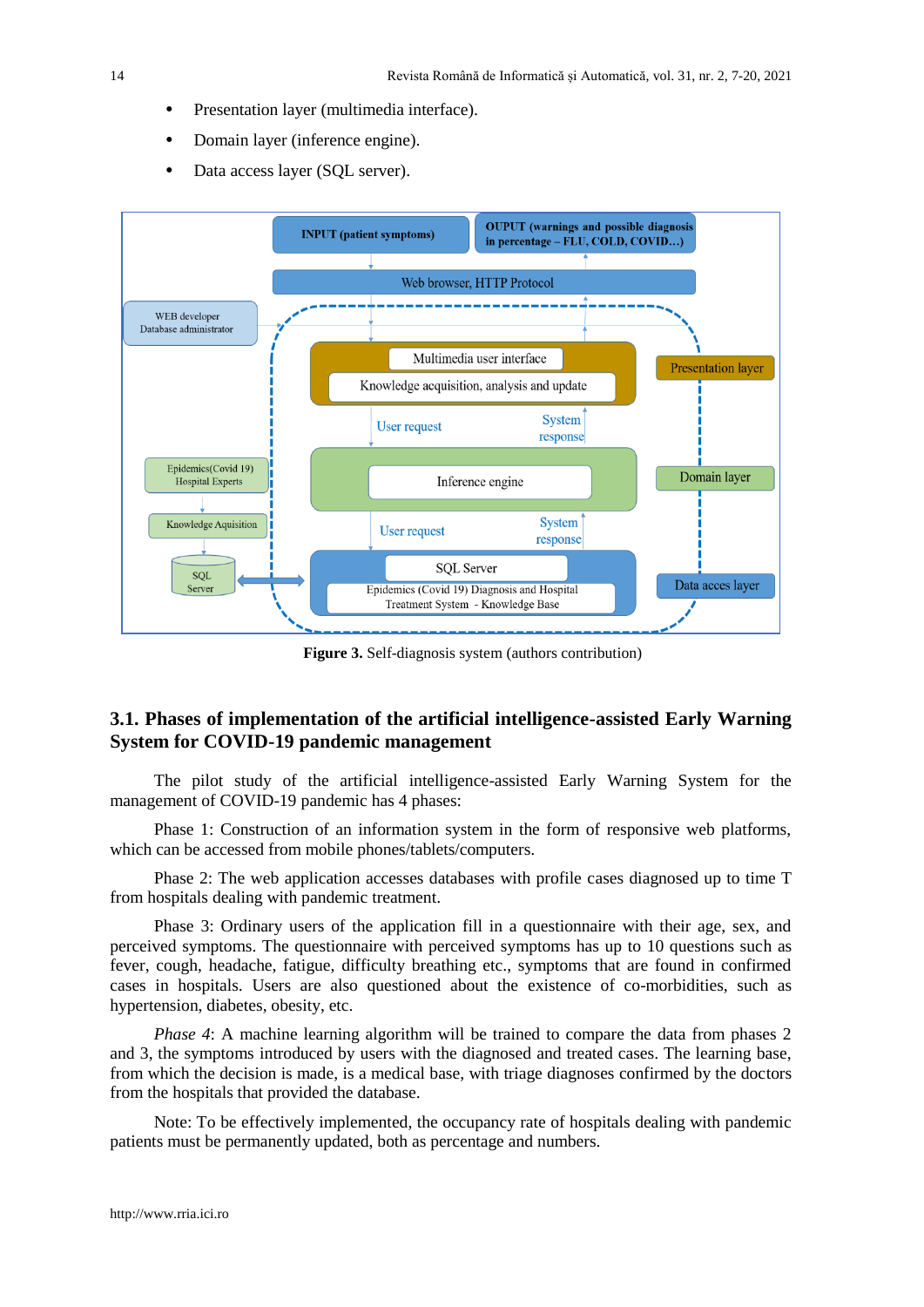- **•** Presentation layer (multimedia interface).
- **•** Domain layer (inference engine).
- Data access layer (SQL server).



**Figure 3.** Self-diagnosis system (authors contribution)

# **3.1. Phases of implementation of the artificial intelligence-assisted Early Warning System for COVID-19 pandemic management**

The pilot study of the artificial intelligence-assisted Early Warning System for the management of COVID-19 pandemic has 4 phases:

Phase 1: Construction of an information system in the form of responsive web platforms, which can be accessed from mobile phones/tablets/computers.

Phase 2: The web application accesses databases with profile cases diagnosed up to time T from hospitals dealing with pandemic treatment.

Phase 3: Ordinary users of the application fill in a questionnaire with their age, sex, and perceived symptoms. The questionnaire with perceived symptoms has up to 10 questions such as fever, cough, headache, fatigue, difficulty breathing etc., symptoms that are found in confirmed cases in hospitals. Users are also questioned about the existence of co-morbidities, such as hypertension, diabetes, obesity, etc.

*Phase 4*: A machine learning algorithm will be trained to compare the data from phases 2 and 3, the symptoms introduced by users with the diagnosed and treated cases. The learning base, from which the decision is made, is a medical base, with triage diagnoses confirmed by the doctors from the hospitals that provided the database.

Note: To be effectively implemented, the occupancy rate of hospitals dealing with pandemic patients must be permanently updated, both as percentage and numbers.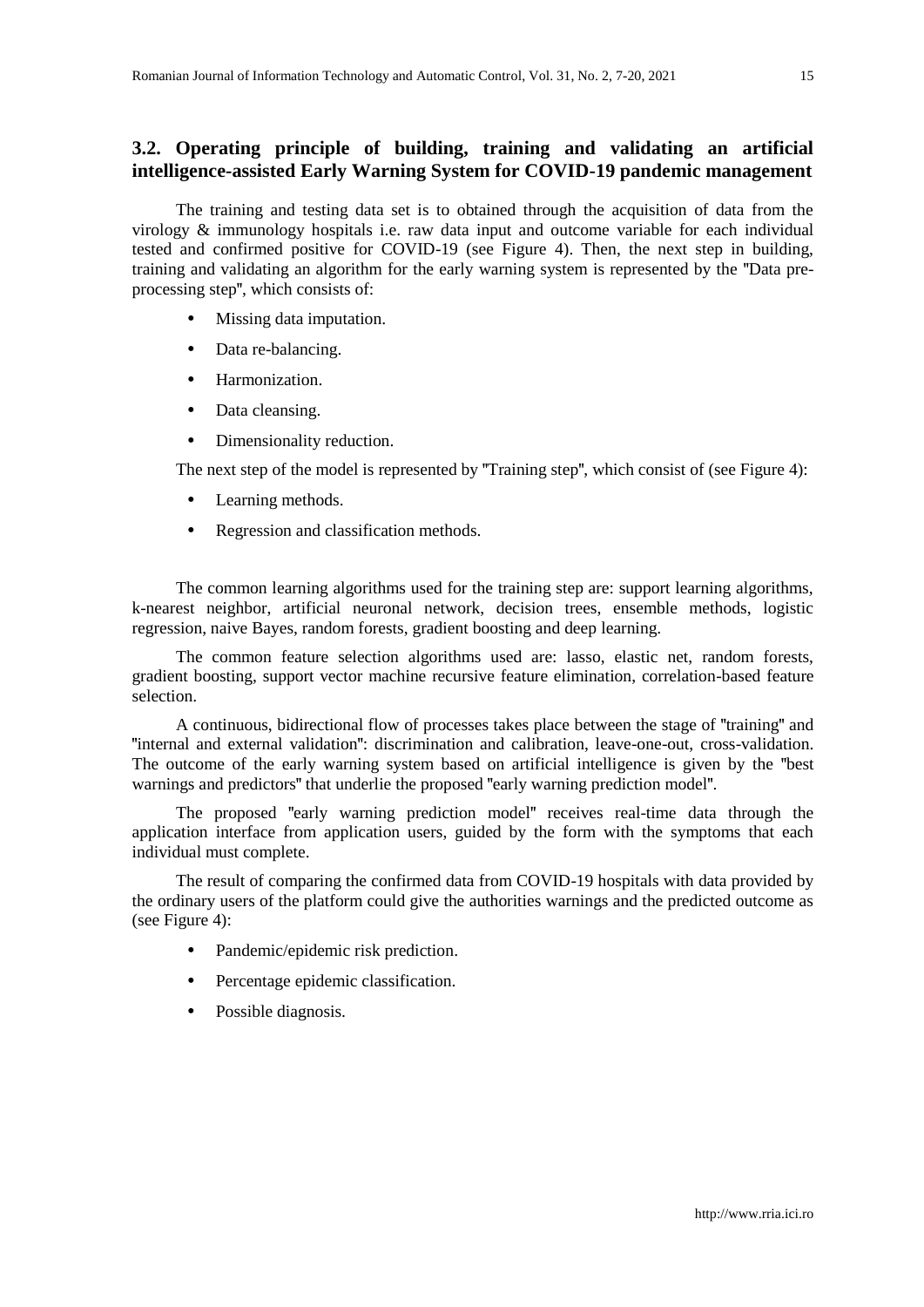# **3.2. Operating principle of building, training and validating an artificial intelligence-assisted Early Warning System for COVID-19 pandemic management**

The training and testing data set is to obtained through the acquisition of data from the virology & immunology hospitals i.e. raw data input and outcome variable for each individual tested and confirmed positive for COVID-19 (see Figure 4). Then, the next step in building, training and validating an algorithm for the early warning system is represented by the **"**Data preprocessing step**"**, which consists of:

- **•** Missing data imputation.
- **•** Data re-balancing.
- **•** Harmonization.
- **•** Data cleansing.
- **•** Dimensionality reduction.

The next step of the model is represented by **"**Training step**"**, which consist of (see Figure 4):

- **•** Learning methods.
- **•** Regression and classification methods.

The common learning algorithms used for the training step are: support learning algorithms, k-nearest neighbor, artificial neuronal network, decision trees, ensemble methods, logistic regression, naive Bayes, random forests, gradient boosting and deep learning.

The common feature selection algorithms used are: lasso, elastic net, random forests, gradient boosting, support vector machine recursive feature elimination, correlation-based feature selection.

A continuous, bidirectional flow of processes takes place between the stage of **"**training**"** and **"**internal and external validation**"**: discrimination and calibration, leave-one-out, cross-validation. The outcome of the early warning system based on artificial intelligence is given by the **"**best warnings and predictors**"** that underlie the proposed **"**early warning prediction model**"**.

The proposed **"**early warning prediction model**"** receives real-time data through the application interface from application users, guided by the form with the symptoms that each individual must complete.

The result of comparing the confirmed data from COVID-19 hospitals with data provided by the ordinary users of the platform could give the authorities warnings and the predicted outcome as (see Figure 4):

- Pandemic/epidemic risk prediction.
- **•** Percentage epidemic classification.
- **•** Possible diagnosis.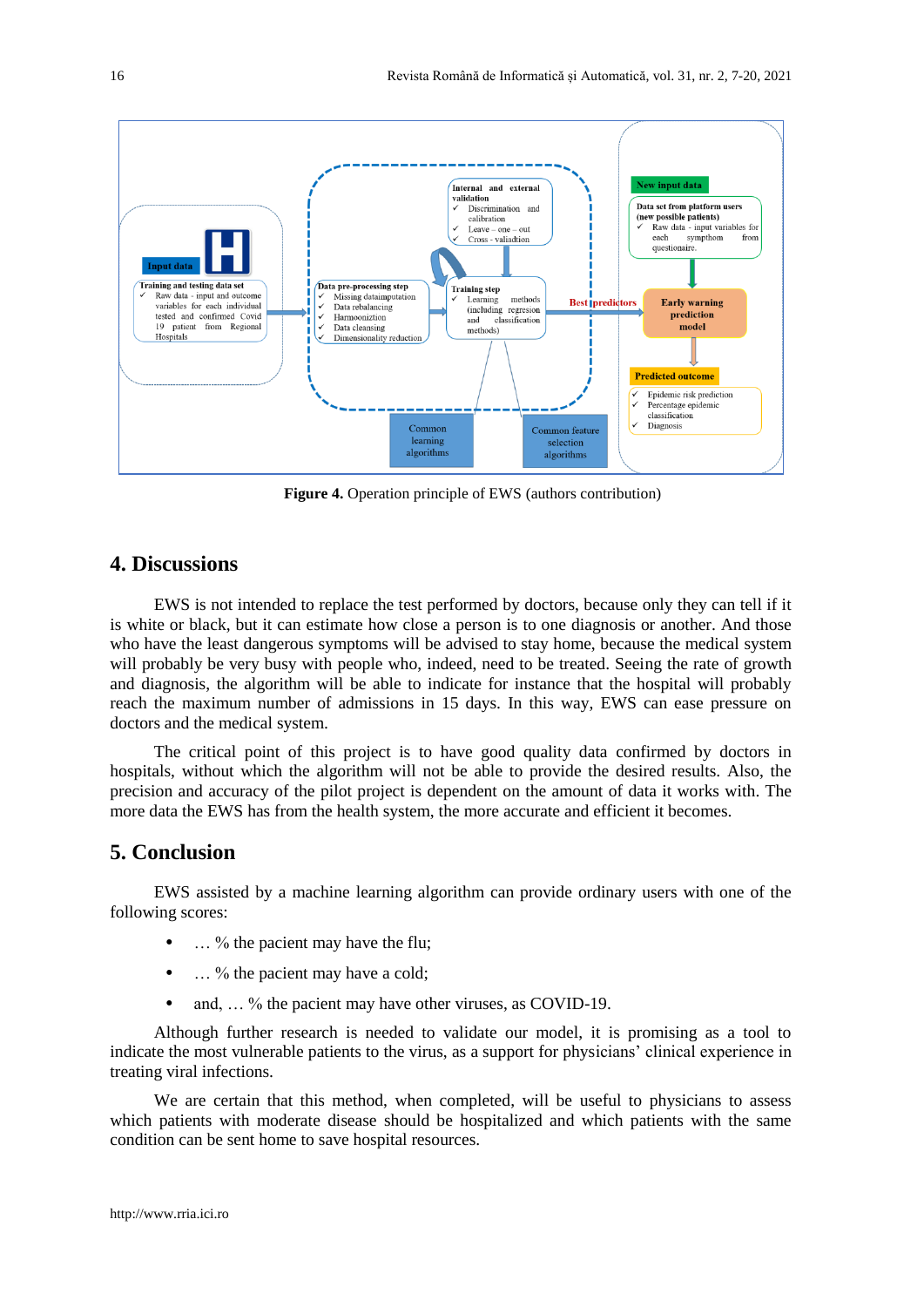

**Figure 4.** Operation principle of EWS (authors contribution)

# **4. Discussions**

EWS is not intended to replace the test performed by doctors, because only they can tell if it is white or black, but it can estimate how close a person is to one diagnosis or another. And those who have the least dangerous symptoms will be advised to stay home, because the medical system will probably be very busy with people who, indeed, need to be treated. Seeing the rate of growth and diagnosis, the algorithm will be able to indicate for instance that the hospital will probably reach the maximum number of admissions in 15 days. In this way, EWS can ease pressure on doctors and the medical system.

The critical point of this project is to have good quality data confirmed by doctors in hospitals, without which the algorithm will not be able to provide the desired results. Also, the precision and accuracy of the pilot project is dependent on the amount of data it works with. The more data the EWS has from the health system, the more accurate and efficient it becomes.

# **5. Conclusion**

EWS assisted by a machine learning algorithm can provide ordinary users with one of the following scores:

- **•** … % the pacient may have the flu;
- … % the pacient may have a cold;
- and, ... % the pacient may have other viruses, as COVID-19.

Although further research is needed to validate our model, it is promising as a tool to indicate the most vulnerable patients to the virus, as a support for physicians' clinical experience in treating viral infections.

We are certain that this method, when completed, will be useful to physicians to assess which patients with moderate disease should be hospitalized and which patients with the same condition can be sent home to save hospital resources.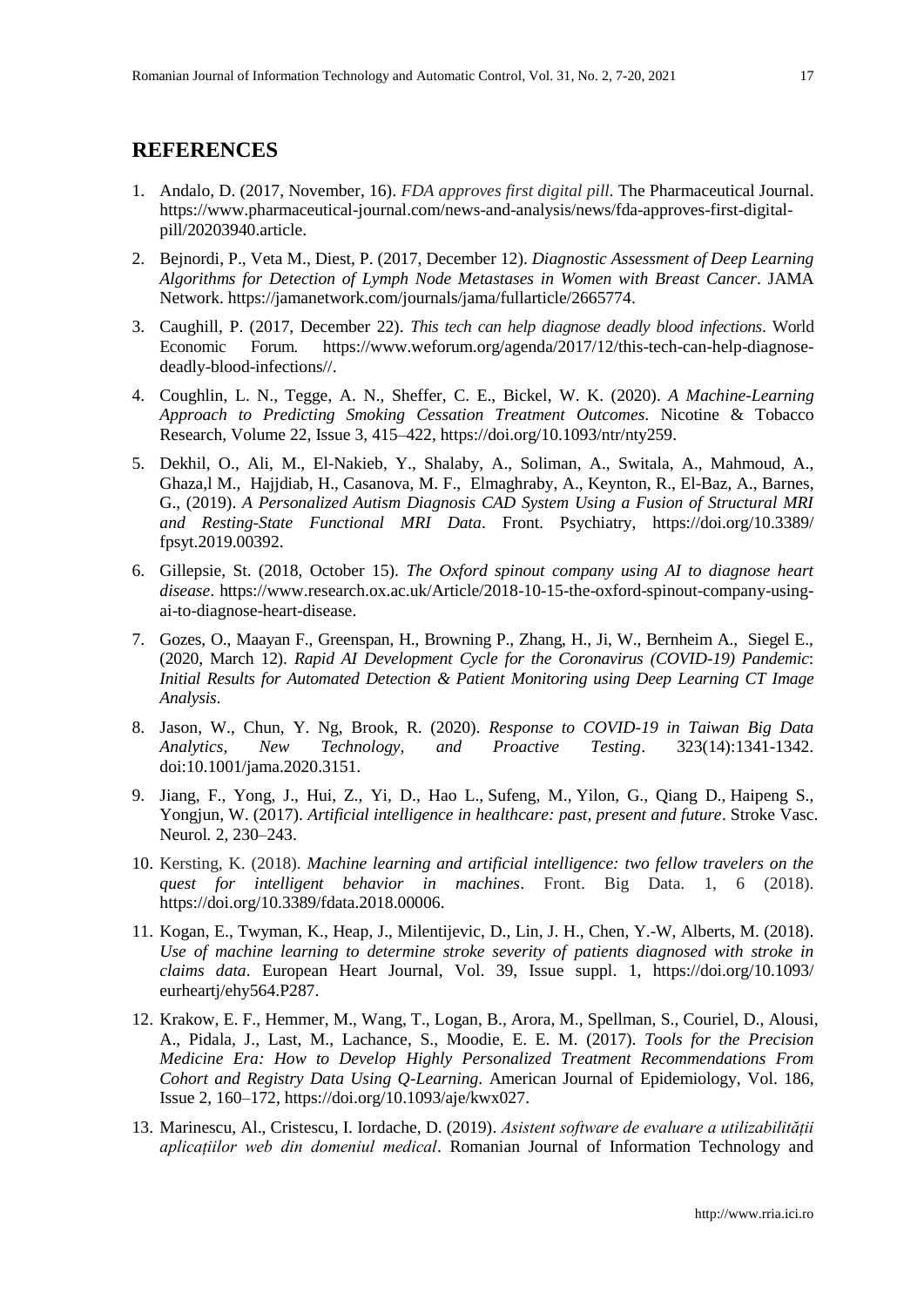# **REFERENCES**

- 1. Andalo, D. (2017, November, 16). *FDA approves first digital pill.* The Pharmaceutical Journal. https://www.pharmaceutical-journal.com/news-and-analysis/news/fda-approves-first-digitalpill/20203940.article.
- 2. Bejnordi, P., Veta M., Diest, P. (2017, December 12). *Diagnostic Assessment of Deep Learning Algorithms for Detection of Lymph Node Metastases in Women with Breast Cancer*. JAMA Network. https://jamanetwork.com/journals/jama/fullarticle/2665774.
- 3. Caughill, P. (2017, December 22). *This tech can help diagnose deadly blood infections*. World Economic Forum*.* https://www.weforum.org/agenda/2017/12/this-tech-can-help-diagnosedeadly-blood-infections//.
- 4. Coughlin, L. N., Tegge, A. N., Sheffer, C. E., Bickel, W. K. (2020). *A Machine-Learning Approach to Predicting Smoking Cessation Treatment Outcomes.* Nicotine & Tobacco Research, Volume 22, Issue 3, 415–422, https://doi.org/10.1093/ntr/nty259.
- 5. Dekhil, O., Ali, M., El-Nakieb, Y., Shalaby, A., Soliman, A., Switala, A., Mahmoud, A., Ghaza,l M., Hajjdiab, H., Casanova, M. F., Elmaghraby, A., Keynton, R., El-Baz, A., Barnes, G., (2019). *A Personalized Autism Diagnosis CAD System Using a Fusion of Structural MRI and Resting-State Functional MRI Data*. Front. Psychiatry, https://doi.org/10.3389/ fpsyt.2019.00392.
- 6. Gillepsie, St. (2018, October 15). *The Oxford spinout company using AI to diagnose heart disease*. https://www.research.ox.ac.uk/Article/2018-10-15-the-oxford-spinout-company-usingai-to-diagnose-heart-disease.
- 7. Gozes, O., Maayan F., Greenspan, H., Browning P., Zhang, H., Ji, W., Bernheim A., Siegel E., (2020, March 12). *Rapid AI Development Cycle for the Coronavirus (COVID-19) Pandemic*: *Initial Results for Automated Detection & Patient Monitoring using Deep Learning CT Image Analysis*.
- 8. Jason, W., Chun, Y. Ng, Brook, R. (2020). *Response to COVID-19 in Taiwan Big Data Analytics, New Technology, and Proactive Testing*. 323(14):1341-1342. doi:10.1001/jama.2020.3151.
- 9. Jiang, F., Yong, J., Hui, Z., Yi, D., Hao L., Sufeng, M., Yilon, G., Qiang D., Haipeng S., Yongjun, W. (2017). *Artificial intelligence in healthcare: past, present and future*. Stroke Vasc. Neurol*.* 2, 230–243.
- 10. Kersting, K. (2018). *Machine learning and artificial intelligence: two fellow travelers on the quest for intelligent behavior in machines*. Front. Big Data. 1, 6 (2018). https://doi.org/10.3389/fdata.2018.00006.
- 11. Kogan, E., Twyman, K., Heap, J., Milentijevic, D., Lin, J. H., Chen, Y.-W, Alberts, M. (2018). *Use of machine learning to determine stroke severity of patients diagnosed with stroke in claims data*. European Heart Journal, Vol. 39, Issue suppl. 1, https://doi.org/10.1093/ eurheartj/ehy564.P287.
- 12. Krakow, E. F., Hemmer, M., Wang, T., Logan, B., Arora, M., Spellman, S., Couriel, D., Alousi, A., Pidala, J., Last, M., Lachance, S., Moodie, E. E. M. (2017). *Tools for the Precision Medicine Era: How to Develop Highly Personalized Treatment Recommendations From Cohort and Registry Data Using Q-Learning*. American Journal of Epidemiology, Vol. 186, Issue 2, 160–172, https://doi.org/10.1093/aje/kwx027.
- 13. Marinescu, Al., Cristescu, I. Iordache, D. (2019). *Asistent software de evaluare a utilizabilității aplicațiilor web din domeniul medical*. Romanian Journal of Information Technology and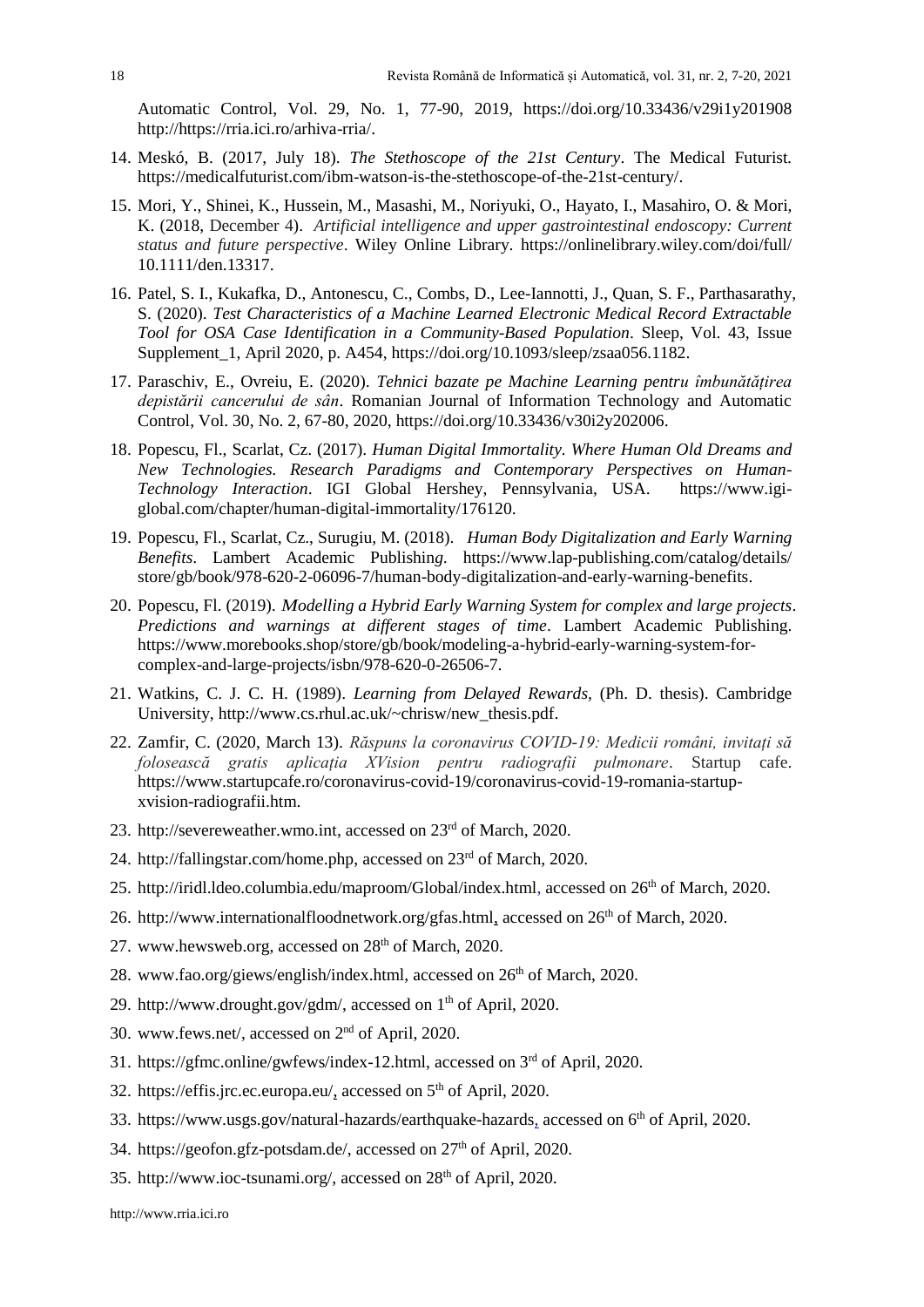Automatic Control, Vol. 29, No. 1, 77-90, 2019, https://doi.org/10.33436/v29i1y201908 http://https://rria.ici.ro/arhiva-rria/.

- 14. Meskó, B. (2017, July 18). *The Stethoscope of the 21st Century*. The Medical Futurist*.* https://medicalfuturist.com/ibm-watson-is-the-stethoscope-of-the-21st-century/.
- 15. Mori, Y., Shinei, K., Hussein, M., Masashi, M., Noriyuki, O., Hayato, I., Masahiro, O. & Mori, K. (2018, December 4). *Artificial intelligence and upper gastrointestinal endoscopy: Current status and future perspective*. Wiley Online Library. https://onlinelibrary.wiley.com/doi/full/ 10.1111/den.13317.
- 16. Patel, S. I., Kukafka, D., Antonescu, C., Combs, D., Lee-Iannotti, J., Quan, S. F., Parthasarathy, S. (2020). *Test Characteristics of a Machine Learned Electronic Medical Record Extractable Tool for OSA Case Identification in a Community-Based Population*. Sleep, Vol. 43, Issue Supplement 1, April 2020, p. A454, https://doi.org/10.1093/sleep/zsaa056.1182.
- 17. Paraschiv, E., Ovreiu, E. (2020). *Tehnici bazate pe Machine Learning pentru îmbunătățirea depistării cancerului de sân*. Romanian Journal of Information Technology and Automatic Control, Vol. 30, No. 2, 67-80, 2020, https://doi.org/10.33436/v30i2y202006.
- 18. Popescu, Fl., Scarlat, Cz. (2017). *Human Digital Immortality. Where Human Old Dreams and New Technologies. Research Paradigms and Contemporary Perspectives on Human-Technology Interaction*. IGI Global Hershey, Pennsylvania, USA. https://www.igiglobal.com/chapter/human-digital-immortality/176120.
- 19. Popescu, Fl., Scarlat, Cz., Surugiu, M. (2018). *[Human Body Digitalization and Early Warning](https://www.morebooks.shop/store/gb/book/human-body-digitalization-and-early-warning-benefits/isbn/978-620-2-06096-7)  [Benefits](https://www.morebooks.shop/store/gb/book/human-body-digitalization-and-early-warning-benefits/isbn/978-620-2-06096-7)*. [Lambert Academic Publishin](https://www.facebook.com/OmniScriptum/)*g.* https://www.lap-publishing.com/catalog/details/ store/gb/book/978-620-2-06096-7/human-body-digitalization-and-early-warning-benefits.
- 20. Popescu, Fl. (2019). *Modelling a Hybrid Early Warning System for complex and large projects*. *Predictions and warnings at different stages of time*. Lambert Academic Publishing. https://www.morebooks.shop/store/gb/book/modeling-a-hybrid-early-warning-system-forcomplex-and-large-projects/isbn/978-620-0-26506-7.
- 21. Watkins, C. J. C. H. (1989). *Learning from Delayed Rewards,* (Ph. D. thesis). Cambridge University, http://www.cs.rhul.ac.uk/~chrisw/new\_thesis.pdf.
- 22. Zamfir, C. (2020, March 13). *Răspuns la coronavirus COVID-19: Medicii români, invitați să folosească gratis aplicația XVision pentru radiografii pulmonare*. Startup cafe. https://www.startupcafe.ro/coronavirus-covid-19/coronavirus-covid-19-romania-startupxvision-radiografii.htm.
- 23. http://severeweather.wmo.int, accessed on 23rd of March, 2020.
- 24. http://fallingstar.com/home.php, accessed on 23rd of March, 2020.
- 25. http://iridl.ldeo.columbia.edu/maproom/Global/index.html, accessed on 26<sup>th</sup> of March, 2020.
- 26. http://www.internationalfloodnetwork.org/gfas.html, accessed on  $26<sup>th</sup>$  of March, 2020.
- 27. www.hewsweb.org, accessed on  $28<sup>th</sup>$  of March, 2020.
- 28. www.fao.org/giews/english/index.html, accessed on 26<sup>th</sup> of March, 2020.
- 29. http://www.drought.gov/gdm/, accessed on 1<sup>th</sup> of April, 2020.
- 30. www.fews.net/, accessed on 2nd of April, 2020.
- 31. https://gfmc.online/gwfews/index-12.html, accessed on 3rd of April, 2020.
- 32. https://effis.jrc.ec.europa.eu/, accessed on  $5<sup>th</sup>$  of April, 2020.
- 33. https://www.usgs.gov/natural-hazards/earthquake-hazards, accessed on 6th of April, 2020.
- 34. https://geofon.gfz-potsdam.de/, accessed on 27<sup>th</sup> of April, 2020.
- 35. http://www.ioc-tsunami.org/, accessed on 28th of April, 2020.

[http://www.rria.ici.ro](http://www.rria.ici.ro/)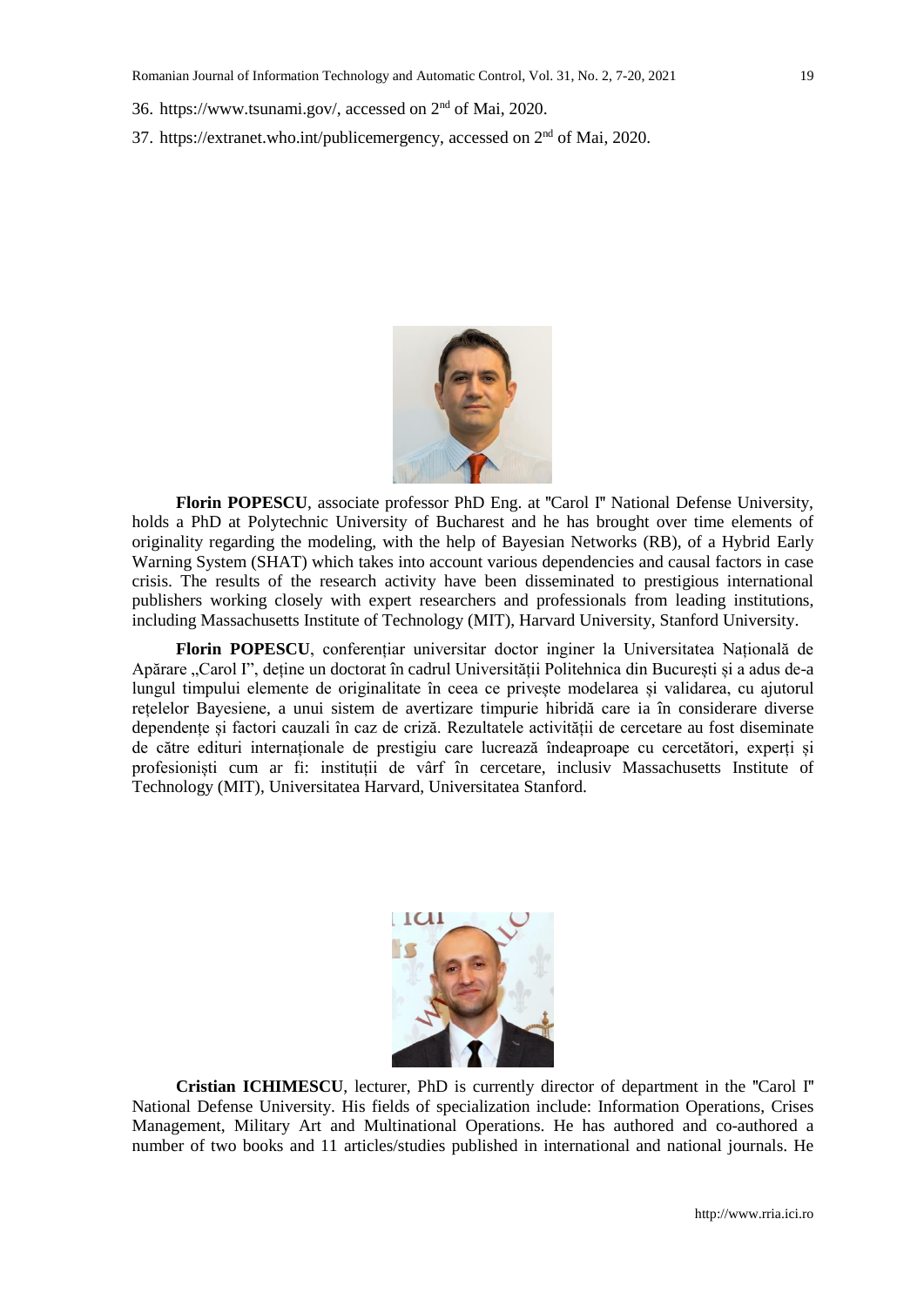- 36. https://www.tsunami.gov/, accessed on 2nd of Mai, 2020.
- 37. https://extranet.who.int/publicemergency, accessed on 2nd of Mai, 2020.



**Florin POPESCU**, associate professor PhD Eng. at **"**Carol I**"** National Defense University, holds a PhD at Polytechnic University of Bucharest and he has brought over time elements of originality regarding the modeling, with the help of Bayesian Networks (RB), of a Hybrid Early Warning System (SHAT) which takes into account various dependencies and causal factors in case crisis. The results of the research activity have been disseminated to prestigious international publishers working closely with expert researchers and professionals from leading institutions, including Massachusetts Institute of Technology (MIT), Harvard University, Stanford University.

**Florin POPESCU**, conferențiar universitar doctor inginer la Universitatea Națională de Apărare "Carol I", deține un doctorat în cadrul Universității Politehnica din București și a adus de-a lungul timpului elemente de originalitate în ceea ce privește modelarea și validarea, cu ajutorul rețelelor Bayesiene, a unui sistem de avertizare timpurie hibridă care ia în considerare diverse dependențe și factori cauzali în caz de criză. Rezultatele activității de cercetare au fost diseminate de către edituri internaționale de prestigiu care lucrează îndeaproape cu cercetători, experți și profesioniști cum ar fi: instituții de vârf în cercetare, inclusiv Massachusetts Institute of Technology (MIT), Universitatea Harvard, Universitatea Stanford.



**Cristian ICHIMESCU**, lecturer, PhD is currently director of department in the **"**Carol I**"** National Defense University. His fields of specialization include: Information Operations, Crises Management, Military Art and Multinational Operations. He has authored and co-authored a number of two books and 11 articles/studies published in international and national journals. He